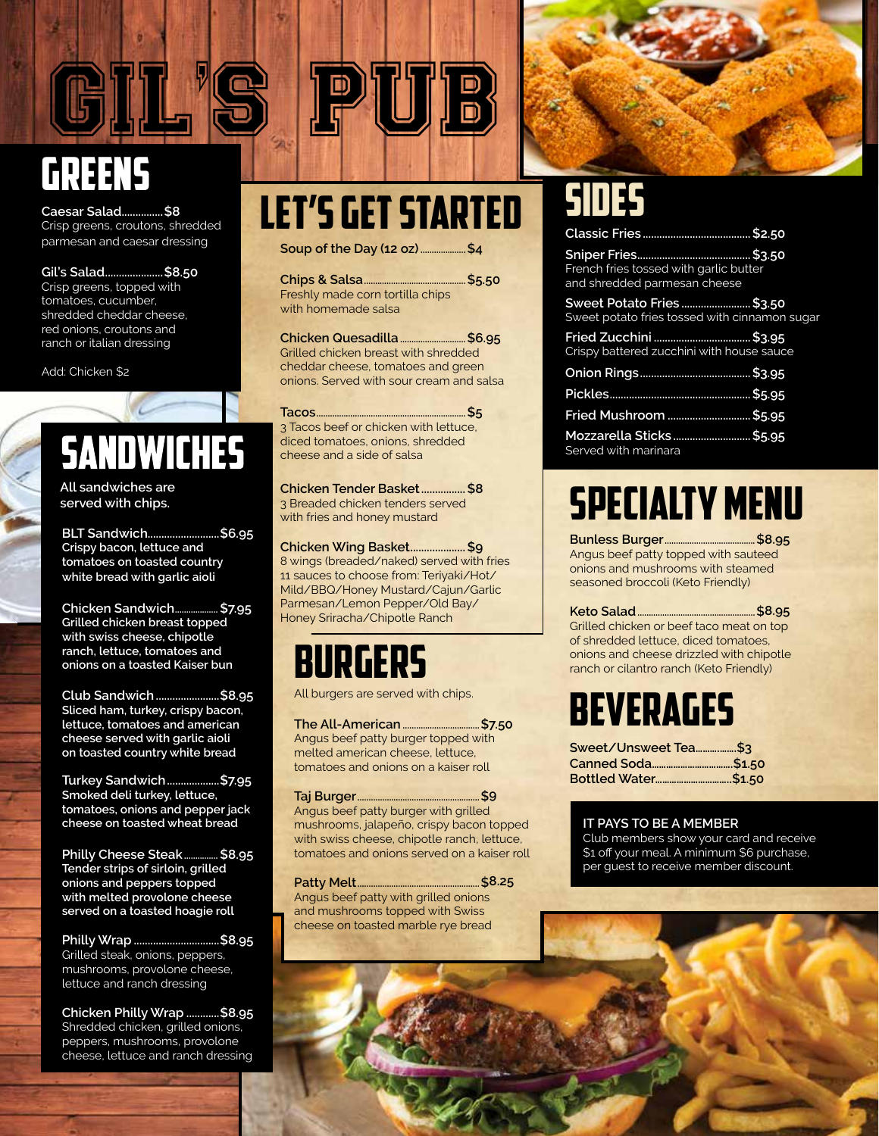

**Caesar Salad...............\$8** Crisp greens, croutons, shredded parmesan and caesar dressing

**Gil's Salad.....................\$8.50** Crisp greens, topped with tomatoes, cucumber, shredded cheddar cheese, red onions, croutons and ranch or italian dressing

Add: Chicken \$2

## **SANDWICHES**

**All sandwiches are served with chips.**

**BLT Sandwich..........................\$6.95 Crispy bacon, lettuce and tomatoes on toasted country white bread with garlic aioli**

**Chicken Sandwich................... \$7.95 Grilled chicken breast topped with swiss cheese, chipotle ranch, lettuce, tomatoes and onions on a toasted Kaiser bun**

**Club Sandwich.......................\$8.95 Sliced ham, turkey, crispy bacon, lettuce, tomatoes and american cheese served with garlic aioli on toasted country white bread**

**Turkey Sandwich...................\$7.95 Smoked deli turkey, lettuce, tomatoes, onions and pepper jack cheese on toasted wheat bread**

**Philly Cheese Steak............... \$8.95 Tender strips of sirloin, grilled onions and peppers topped with melted provolone cheese served on a toasted hoagie roll**

**Philly Wrap ...............................\$8.95** Grilled steak, onions, peppers, mushrooms, provolone cheese, lettuce and ranch dressing

**Chicken Philly Wrap ............\$8.95** Shredded chicken, grilled onions, peppers, mushrooms, provolone cheese, lettuce and ranch dressing

# LET'S GET STARTED

PIUIB)

**Soup of the Day (12 oz) ....................\$4**

**Chips & Salsa.............................................\$5.50** Freshly made corn tortilla chips with homemade salsa

**Chicken Quesadilla.............................\$6.95** Grilled chicken breast with shredded cheddar cheese, tomatoes and green onions. Served with sour cream and salsa

**Tacos..................................................................\$5** 3 Tacos beef or chicken with lettuce, diced tomatoes, onions, shredded cheese and a side of salsa

**Chicken Tender Basket................\$8** 3 Breaded chicken tenders served with fries and honey mustard

**Chicken Wing Basket....................\$9** 8 wings (breaded/naked) served with fries 11 sauces to choose from: Teriyaki/Hot/ Mild/BBQ/Honey Mustard/Cajun/Garlic Parmesan/Lemon Pepper/Old Bay/ Honey Sriracha/Chipotle Ranch

### burgers

All burgers are served with chips.

**The All-American..................................\$7.50** Angus beef patty burger topped with melted american cheese, lettuce, tomatoes and onions on a kaiser roll

**Taj Burger......................................................\$9** Angus beef patty burger with grilled mushrooms, jalapeño, crispy bacon topped with swiss cheese, chipotle ranch, lettuce, tomatoes and onions served on a kaiser roll

**Patty Melt......................................................\$8.25** Angus beef patty with grilled onions and mushrooms topped with Swiss cheese on toasted marble rye bread

| French fries tossed with garlic butter<br>and shredded parmesan cheese     |  |
|----------------------------------------------------------------------------|--|
| Sweet Potato Fries \$3.50<br>Sweet potato fries tossed with cinnamon sugar |  |
| Crispy battered zucchini with house sauce                                  |  |
|                                                                            |  |
|                                                                            |  |
| Fried Mushroom  \$5.95                                                     |  |
| Mozzarella Sticks\$5.95<br>Served with marinara                            |  |
|                                                                            |  |

### Specialty Menu

**Bunless Burger........................................\$8.95** Angus beef patty topped with sauteed onions and mushrooms with steamed seasoned broccoli (Keto Friendly)

**Keto Salad....................................................\$8.95** Grilled chicken or beef taco meat on top of shredded lettuce, diced tomatoes, onions and cheese drizzled with chipotle ranch or cilantro ranch (Keto Friendly)

### **BEVERAGES**

| Sweet/Unsweet Tea\$3 |  |
|----------------------|--|
|                      |  |
| Bottled Water\$1.50  |  |

#### **IT PAYS TO BE A MEMBER**

Club members show your card and receive \$1 off your meal. A minimum \$6 purchase, per guest to receive member discount.